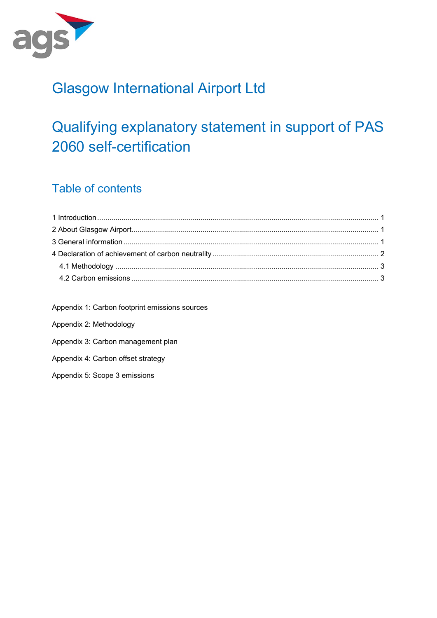

# Glasgow International Airport Ltd

# Qualifying explanatory statement in support of PAS 2060 self-certification

### Table of contents

Appendix 1: Carbon footprint emissions sources Appendix 2: Methodology Appendix 3: Carbon management plan Appendix 4: Carbon offset strategy Appendix 5: Scope 3 emissions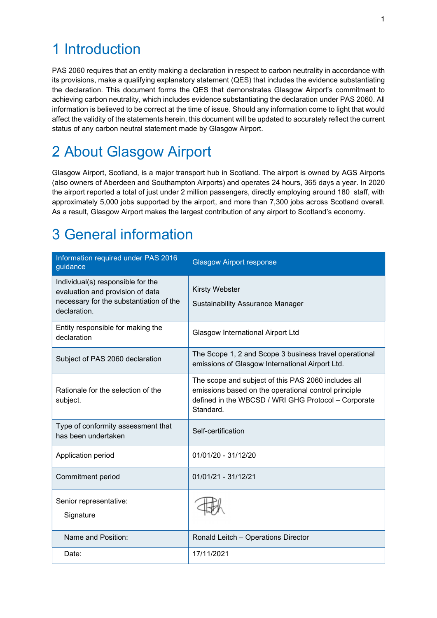## 1 Introduction

PAS 2060 requires that an entity making a declaration in respect to carbon neutrality in accordance with its provisions, make a qualifying explanatory statement (QES) that includes the evidence substantiating the declaration. This document forms the QES that demonstrates Glasgow Airport's commitment to achieving carbon neutrality, which includes evidence substantiating the declaration under PAS 2060. All information is believed to be correct at the time of issue. Should any information come to light that would affect the validity of the statements herein, this document will be updated to accurately reflect the current status of any carbon neutral statement made by Glasgow Airport.

# 2 About Glasgow Airport

Glasgow Airport, Scotland, is a major transport hub in Scotland. The airport is owned by AGS Airports (also owners of Aberdeen and Southampton Airports) and operates 24 hours, 365 days a year. In 2020 the airport reported a total of just under 2 million passengers, directly employing around 180 staff, with approximately 5,000 jobs supported by the airport, and more than 7,300 jobs across Scotland overall. As a result, Glasgow Airport makes the largest contribution of any airport to Scotland's economy.

# 3 General information

| Information required under PAS 2016<br>guidance                                                                                  | <b>Glasgow Airport response</b>                                                                                                                                                 |
|----------------------------------------------------------------------------------------------------------------------------------|---------------------------------------------------------------------------------------------------------------------------------------------------------------------------------|
| Individual(s) responsible for the<br>evaluation and provision of data<br>necessary for the substantiation of the<br>declaration. | <b>Kirsty Webster</b><br><b>Sustainability Assurance Manager</b>                                                                                                                |
| Entity responsible for making the<br>declaration                                                                                 | <b>Glasgow International Airport Ltd</b>                                                                                                                                        |
| Subject of PAS 2060 declaration                                                                                                  | The Scope 1, 2 and Scope 3 business travel operational<br>emissions of Glasgow International Airport Ltd.                                                                       |
| Rationale for the selection of the<br>subject.                                                                                   | The scope and subject of this PAS 2060 includes all<br>emissions based on the operational control principle<br>defined in the WBCSD / WRI GHG Protocol - Corporate<br>Standard. |
| Type of conformity assessment that<br>has been undertaken                                                                        | Self-certification                                                                                                                                                              |
| Application period                                                                                                               | 01/01/20 - 31/12/20                                                                                                                                                             |
| Commitment period                                                                                                                | 01/01/21 - 31/12/21                                                                                                                                                             |
| Senior representative:<br>Signature                                                                                              |                                                                                                                                                                                 |
| Name and Position:                                                                                                               | Ronald Leitch - Operations Director                                                                                                                                             |
| Date:                                                                                                                            | 17/11/2021                                                                                                                                                                      |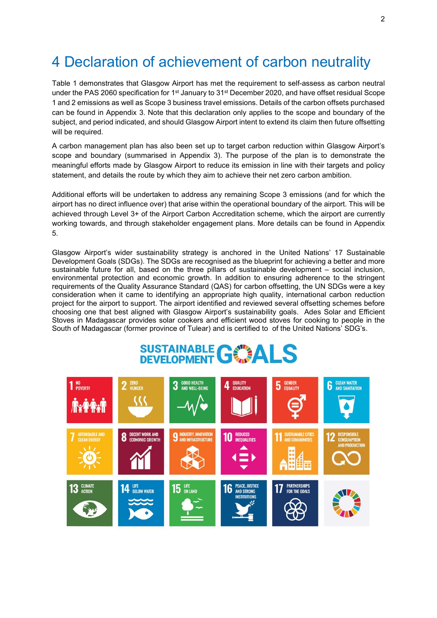## 4 Declaration of achievement of carbon neutrality

Table 1 demonstrates that Glasgow Airport has met the requirement to self-assess as carbon neutral under the PAS 2060 specification for 1<sup>st</sup> January to 31<sup>st</sup> December 2020, and have offset residual Scope 1 and 2 emissions as well as Scope 3 business travel emissions. Details of the carbon offsets purchased can be found in Appendix 3. Note that this declaration only applies to the scope and boundary of the subject, and period indicated, and should Glasgow Airport intent to extend its claim then future offsetting will be required.

A carbon management plan has also been set up to target carbon reduction within Glasgow Airport's scope and boundary (summarised in Appendix 3). The purpose of the plan is to demonstrate the meaningful efforts made by Glasgow Airport to reduce its emission in line with their targets and policy statement, and details the route by which they aim to achieve their net zero carbon ambition.

Additional efforts will be undertaken to address any remaining Scope 3 emissions (and for which the airport has no direct influence over) that arise within the operational boundary of the airport. This will be achieved through Level 3+ of the Airport Carbon Accreditation scheme, which the airport are currently working towards, and through stakeholder engagement plans. More details can be found in Appendix 5.

Glasgow Airport's wider sustainability strategy is anchored in the United Nations' 17 Sustainable Development Goals (SDGs). The SDGs are recognised as the blueprint for achieving a better and more sustainable future for all, based on the three pillars of sustainable development – social inclusion, environmental protection and economic growth. In addition to ensuring adherence to the stringent requirements of the Quality Assurance Standard (QAS) for carbon offsetting, the UN SDGs were a key consideration when it came to identifying an appropriate high quality, international carbon reduction project for the airport to support. The airport identified and reviewed several offsetting schemes before choosing one that best aligned with Glasgow Airport's sustainability goals. Ades Solar and Efficient Stoves in Madagascar provides solar cookers and efficient wood stoves for cooking to people in the South of Madagascar (former province of Tulear) and is certified to of the United Nations' SDG's.



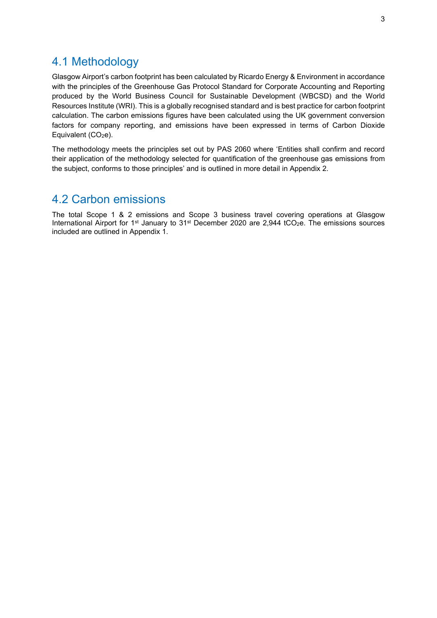### 4.1 Methodology

Glasgow Airport's carbon footprint has been calculated by Ricardo Energy & Environment in accordance with the principles of the Greenhouse Gas Protocol Standard for Corporate Accounting and Reporting produced by the World Business Council for Sustainable Development (WBCSD) and the World Resources Institute (WRI). This is a globally recognised standard and is best practice for carbon footprint calculation. The carbon emissions figures have been calculated using the UK government conversion factors for company reporting, and emissions have been expressed in terms of Carbon Dioxide Equivalent  $(CO<sub>2</sub>e)$ .

The methodology meets the principles set out by PAS 2060 where 'Entities shall confirm and record their application of the methodology selected for quantification of the greenhouse gas emissions from the subject, conforms to those principles' and is outlined in more detail in Appendix 2.

### 4.2 Carbon emissions

The total Scope 1 & 2 emissions and Scope 3 business travel covering operations at Glasgow International Airport for 1<sup>st</sup> January to 31<sup>st</sup> December 2020 are 2,944 tCO<sub>2</sub>e. The emissions sources included are outlined in Appendix 1.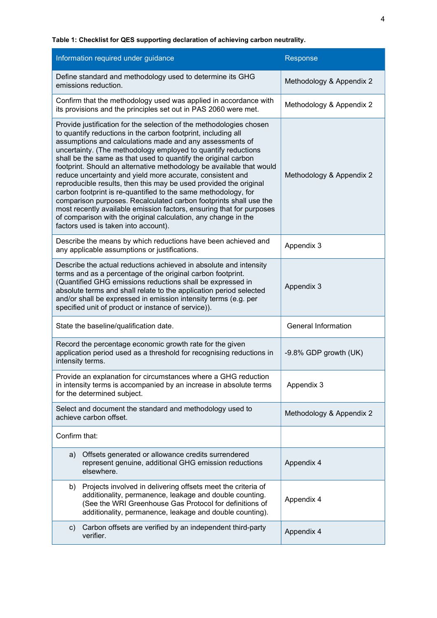Table 1: Checklist for QES supporting declaration of achieving carbon neutrality.

| Information required under guidance                                                                                                                                                                                                                                                                                                                                                                                                                                                                                                                                                                                                                                                                                                                                                                                                                                     | Response                   |  |
|-------------------------------------------------------------------------------------------------------------------------------------------------------------------------------------------------------------------------------------------------------------------------------------------------------------------------------------------------------------------------------------------------------------------------------------------------------------------------------------------------------------------------------------------------------------------------------------------------------------------------------------------------------------------------------------------------------------------------------------------------------------------------------------------------------------------------------------------------------------------------|----------------------------|--|
| Define standard and methodology used to determine its GHG<br>emissions reduction.                                                                                                                                                                                                                                                                                                                                                                                                                                                                                                                                                                                                                                                                                                                                                                                       | Methodology & Appendix 2   |  |
| Confirm that the methodology used was applied in accordance with<br>its provisions and the principles set out in PAS 2060 were met.                                                                                                                                                                                                                                                                                                                                                                                                                                                                                                                                                                                                                                                                                                                                     | Methodology & Appendix 2   |  |
| Provide justification for the selection of the methodologies chosen<br>to quantify reductions in the carbon footprint, including all<br>assumptions and calculations made and any assessments of<br>uncertainty. (The methodology employed to quantify reductions<br>shall be the same as that used to quantify the original carbon<br>footprint. Should an alternative methodology be available that would<br>reduce uncertainty and yield more accurate, consistent and<br>reproducible results, then this may be used provided the original<br>carbon footprint is re-quantified to the same methodology, for<br>comparison purposes. Recalculated carbon footprints shall use the<br>most recently available emission factors, ensuring that for purposes<br>of comparison with the original calculation, any change in the<br>factors used is taken into account). | Methodology & Appendix 2   |  |
| Describe the means by which reductions have been achieved and<br>any applicable assumptions or justifications.                                                                                                                                                                                                                                                                                                                                                                                                                                                                                                                                                                                                                                                                                                                                                          | Appendix 3                 |  |
| Describe the actual reductions achieved in absolute and intensity<br>terms and as a percentage of the original carbon footprint.<br>(Quantified GHG emissions reductions shall be expressed in<br>absolute terms and shall relate to the application period selected<br>and/or shall be expressed in emission intensity terms (e.g. per<br>specified unit of product or instance of service)).                                                                                                                                                                                                                                                                                                                                                                                                                                                                          | Appendix 3                 |  |
| State the baseline/qualification date.                                                                                                                                                                                                                                                                                                                                                                                                                                                                                                                                                                                                                                                                                                                                                                                                                                  | <b>General Information</b> |  |
| Record the percentage economic growth rate for the given<br>application period used as a threshold for recognising reductions in<br>intensity terms.                                                                                                                                                                                                                                                                                                                                                                                                                                                                                                                                                                                                                                                                                                                    | -9.8% GDP growth (UK)      |  |
| Provide an explanation for circumstances where a GHG reduction<br>in intensity terms is accompanied by an increase in absolute terms<br>for the determined subject.                                                                                                                                                                                                                                                                                                                                                                                                                                                                                                                                                                                                                                                                                                     | Appendix 3                 |  |
| Select and document the standard and methodology used to<br>achieve carbon offset.                                                                                                                                                                                                                                                                                                                                                                                                                                                                                                                                                                                                                                                                                                                                                                                      | Methodology & Appendix 2   |  |
| Confirm that:                                                                                                                                                                                                                                                                                                                                                                                                                                                                                                                                                                                                                                                                                                                                                                                                                                                           |                            |  |
| Offsets generated or allowance credits surrendered<br>a)<br>represent genuine, additional GHG emission reductions<br>elsewhere.                                                                                                                                                                                                                                                                                                                                                                                                                                                                                                                                                                                                                                                                                                                                         | Appendix 4                 |  |
| Projects involved in delivering offsets meet the criteria of<br>b)<br>additionality, permanence, leakage and double counting.<br>(See the WRI Greenhouse Gas Protocol for definitions of<br>additionality, permanence, leakage and double counting).                                                                                                                                                                                                                                                                                                                                                                                                                                                                                                                                                                                                                    | Appendix 4                 |  |
| Carbon offsets are verified by an independent third-party<br>C)<br>verifier.                                                                                                                                                                                                                                                                                                                                                                                                                                                                                                                                                                                                                                                                                                                                                                                            | Appendix 4                 |  |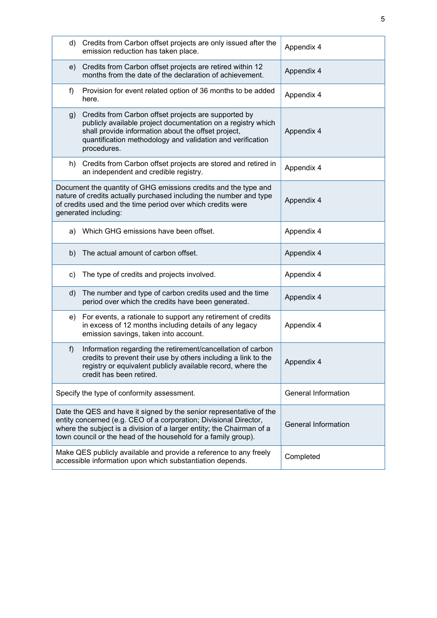|    | d) Credits from Carbon offset projects are only issued after the<br>emission reduction has taken place.                                                                                                                                                                             | Appendix 4                 |
|----|-------------------------------------------------------------------------------------------------------------------------------------------------------------------------------------------------------------------------------------------------------------------------------------|----------------------------|
| e) | Credits from Carbon offset projects are retired within 12<br>months from the date of the declaration of achievement.                                                                                                                                                                | Appendix 4                 |
| f) | Provision for event related option of 36 months to be added<br>here.                                                                                                                                                                                                                | Appendix 4                 |
| g) | Credits from Carbon offset projects are supported by<br>publicly available project documentation on a registry which<br>shall provide information about the offset project,<br>quantification methodology and validation and verification<br>procedures.                            | Appendix 4                 |
| h) | Credits from Carbon offset projects are stored and retired in<br>an independent and credible registry.                                                                                                                                                                              | Appendix 4                 |
|    | Document the quantity of GHG emissions credits and the type and<br>nature of credits actually purchased including the number and type<br>of credits used and the time period over which credits were<br>generated including:                                                        | Appendix 4                 |
|    | a) Which GHG emissions have been offset.                                                                                                                                                                                                                                            | Appendix 4                 |
| b) | The actual amount of carbon offset.                                                                                                                                                                                                                                                 | Appendix 4                 |
| c) | The type of credits and projects involved.                                                                                                                                                                                                                                          | Appendix 4                 |
| d) | The number and type of carbon credits used and the time<br>period over which the credits have been generated.                                                                                                                                                                       | Appendix 4                 |
|    | e) For events, a rationale to support any retirement of credits<br>in excess of 12 months including details of any legacy<br>emission savings, taken into account.                                                                                                                  | Appendix 4                 |
| f  | Information regarding the retirement/cancellation of carbon<br>credits to prevent their use by others including a link to the<br>registry or equivalent publicly available record, where the<br>credit has been retired.                                                            | Appendix 4                 |
|    | Specify the type of conformity assessment.                                                                                                                                                                                                                                          | General Information        |
|    | Date the QES and have it signed by the senior representative of the<br>entity concerned (e.g. CEO of a corporation; Divisional Director,<br>where the subject is a division of a larger entity; the Chairman of a<br>town council or the head of the household for a family group). | <b>General Information</b> |
|    | Make QES publicly available and provide a reference to any freely<br>accessible information upon which substantiation depends.                                                                                                                                                      | Completed                  |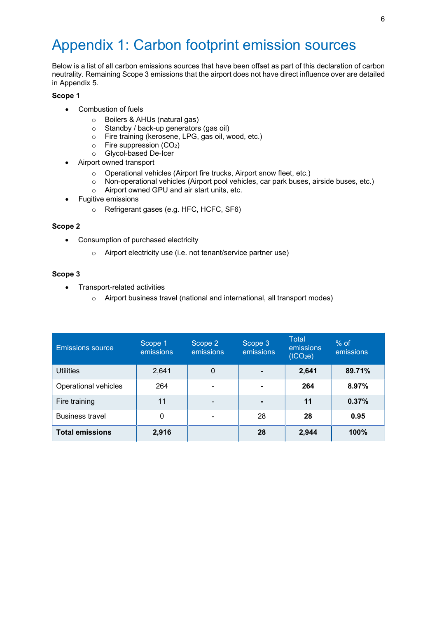# Appendix 1: Carbon footprint emission sources

Below is a list of all carbon emissions sources that have been offset as part of this declaration of carbon neutrality. Remaining Scope 3 emissions that the airport does not have direct influence over are detailed in Appendix 5.

#### Scope 1

- Combustion of fuels
	- o Boilers & AHUs (natural gas)
	- o Standby / back-up generators (gas oil)
	- o Fire training (kerosene, LPG, gas oil, wood, etc.)
	- $\circ$  Fire suppression (CO<sub>2</sub>)
	- o Glycol-based De-Icer
- Airport owned transport
	- o Operational vehicles (Airport fire trucks, Airport snow fleet, etc.)
	- o Non-operational vehicles (Airport pool vehicles, car park buses, airside buses, etc.)
	- o Airport owned GPU and air start units, etc.
- Fugitive emissions
	- o Refrigerant gases (e.g. HFC, HCFC, SF6)

#### Scope 2

- Consumption of purchased electricity
	- o Airport electricity use (i.e. not tenant/service partner use)

#### Scope 3

- Transport-related activities
	- o Airport business travel (national and international, all transport modes)

| <b>Emissions source</b> | Scope 1<br>emissions | Scope 2<br>emissions | Scope 3<br>emissions | Total<br>emissions<br>(tCO <sub>2</sub> e) | $%$ of<br>emissions |
|-------------------------|----------------------|----------------------|----------------------|--------------------------------------------|---------------------|
| <b>Utilities</b>        | 2,641                | 0                    |                      | 2,641                                      | 89.71%              |
| Operational vehicles    | 264                  |                      |                      | 264                                        | 8.97%               |
| Fire training           | 11                   | -                    |                      | 11                                         | 0.37%               |
| <b>Business travel</b>  | 0                    |                      | 28                   | 28                                         | 0.95                |
| <b>Total emissions</b>  | 2,916                |                      | 28                   | 2,944                                      | 100%                |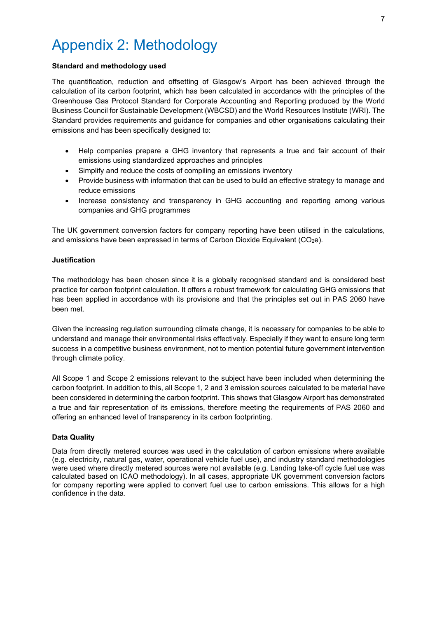# Appendix 2: Methodology

#### Standard and methodology used

The quantification, reduction and offsetting of Glasgow's Airport has been achieved through the calculation of its carbon footprint, which has been calculated in accordance with the principles of the Greenhouse Gas Protocol Standard for Corporate Accounting and Reporting produced by the World Business Council for Sustainable Development (WBCSD) and the World Resources Institute (WRI). The Standard provides requirements and guidance for companies and other organisations calculating their emissions and has been specifically designed to:

- Help companies prepare a GHG inventory that represents a true and fair account of their emissions using standardized approaches and principles
- Simplify and reduce the costs of compiling an emissions inventory
- Provide business with information that can be used to build an effective strategy to manage and reduce emissions
- Increase consistency and transparency in GHG accounting and reporting among various companies and GHG programmes

The UK government conversion factors for company reporting have been utilised in the calculations, and emissions have been expressed in terms of Carbon Dioxide Equivalent (CO<sub>2</sub>e).

#### Justification

The methodology has been chosen since it is a globally recognised standard and is considered best practice for carbon footprint calculation. It offers a robust framework for calculating GHG emissions that has been applied in accordance with its provisions and that the principles set out in PAS 2060 have been met.

Given the increasing regulation surrounding climate change, it is necessary for companies to be able to understand and manage their environmental risks effectively. Especially if they want to ensure long term success in a competitive business environment, not to mention potential future government intervention through climate policy.

All Scope 1 and Scope 2 emissions relevant to the subject have been included when determining the carbon footprint. In addition to this, all Scope 1, 2 and 3 emission sources calculated to be material have been considered in determining the carbon footprint. This shows that Glasgow Airport has demonstrated a true and fair representation of its emissions, therefore meeting the requirements of PAS 2060 and offering an enhanced level of transparency in its carbon footprinting.

#### Data Quality

Data from directly metered sources was used in the calculation of carbon emissions where available (e.g. electricity, natural gas, water, operational vehicle fuel use), and industry standard methodologies were used where directly metered sources were not available (e.g. Landing take-off cycle fuel use was calculated based on ICAO methodology). In all cases, appropriate UK government conversion factors for company reporting were applied to convert fuel use to carbon emissions. This allows for a high confidence in the data.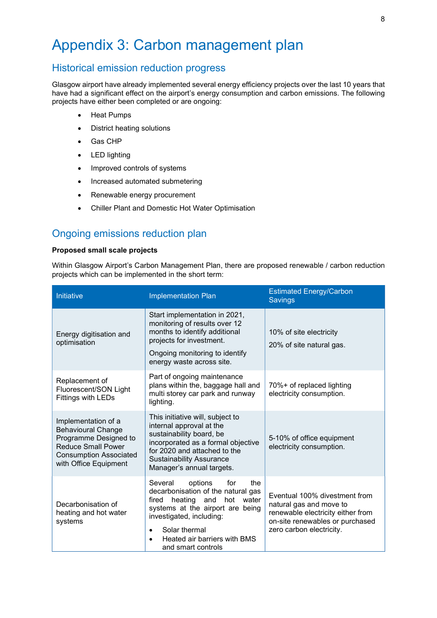### Appendix 3: Carbon management plan

### Historical emission reduction progress

Glasgow airport have already implemented several energy efficiency projects over the last 10 years that have had a significant effect on the airport's energy consumption and carbon emissions. The following projects have either been completed or are ongoing:

- Heat Pumps
- District heating solutions
- Gas CHP
- LED lighting
- Improved controls of systems
- Increased automated submetering
- Renewable energy procurement
- Chiller Plant and Domestic Hot Water Optimisation

### Ongoing emissions reduction plan

#### Proposed small scale projects

Within Glasgow Airport's Carbon Management Plan, there are proposed renewable / carbon reduction projects which can be implemented in the short term:

| Initiative                                                                                                                                                       | <b>Implementation Plan</b>                                                                                                                                                                                                                                         | <b>Estimated Energy/Carbon</b><br><b>Savings</b>                                                                                                             |
|------------------------------------------------------------------------------------------------------------------------------------------------------------------|--------------------------------------------------------------------------------------------------------------------------------------------------------------------------------------------------------------------------------------------------------------------|--------------------------------------------------------------------------------------------------------------------------------------------------------------|
| Energy digitisation and<br>optimisation                                                                                                                          | Start implementation in 2021,<br>monitoring of results over 12<br>months to identify additional<br>projects for investment.<br>Ongoing monitoring to identify<br>energy waste across site.                                                                         | 10% of site electricity<br>20% of site natural gas.                                                                                                          |
| Replacement of<br>Fluorescent/SON Light<br><b>Fittings with LEDs</b>                                                                                             | Part of ongoing maintenance<br>plans within the, baggage hall and<br>multi storey car park and runway<br>lighting.                                                                                                                                                 | 70%+ of replaced lighting<br>electricity consumption.                                                                                                        |
| Implementation of a<br><b>Behavioural Change</b><br>Programme Designed to<br><b>Reduce Small Power</b><br><b>Consumption Associated</b><br>with Office Equipment | This initiative will, subject to<br>internal approval at the<br>sustainability board, be<br>incorporated as a formal objective<br>for 2020 and attached to the<br><b>Sustainability Assurance</b><br>Manager's annual targets.                                     | 5-10% of office equipment<br>electricity consumption.                                                                                                        |
| Decarbonisation of<br>heating and hot water<br>systems                                                                                                           | Several<br>options<br>for<br>the<br>decarbonisation of the natural gas<br>heating<br>and<br>hot water<br>fired<br>systems at the airport are being<br>investigated, including:<br>Solar thermal<br>$\bullet$<br>Heated air barriers with BMS<br>and smart controls | Eventual 100% divestment from<br>natural gas and move to<br>renewable electricity either from<br>on-site renewables or purchased<br>zero carbon electricity. |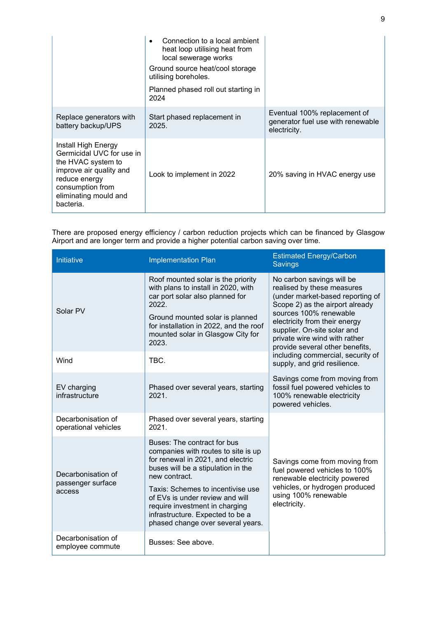|                                                                                                                                                                              | Connection to a local ambient<br>heat loop utilising heat from<br>local sewerage works<br>Ground source heat/cool storage<br>utilising boreholes.<br>Planned phased roll out starting in<br>2024 |                                                                                   |
|------------------------------------------------------------------------------------------------------------------------------------------------------------------------------|--------------------------------------------------------------------------------------------------------------------------------------------------------------------------------------------------|-----------------------------------------------------------------------------------|
| Replace generators with<br>battery backup/UPS                                                                                                                                | Start phased replacement in<br>2025.                                                                                                                                                             | Eventual 100% replacement of<br>generator fuel use with renewable<br>electricity. |
| Install High Energy<br>Germicidal UVC for use in<br>the HVAC system to<br>improve air quality and<br>reduce energy<br>consumption from<br>eliminating mould and<br>bacteria. | Look to implement in 2022                                                                                                                                                                        | 20% saving in HVAC energy use                                                     |

There are proposed energy efficiency / carbon reduction projects which can be financed by Glasgow Airport and are longer term and provide a higher potential carbon saving over time.

| Initiative                                        | <b>Implementation Plan</b>                                                                                                                                                                                                                                                                                                                        | <b>Estimated Energy/Carbon</b><br><b>Savings</b>                                                                                                                                                                                                                                             |  |
|---------------------------------------------------|---------------------------------------------------------------------------------------------------------------------------------------------------------------------------------------------------------------------------------------------------------------------------------------------------------------------------------------------------|----------------------------------------------------------------------------------------------------------------------------------------------------------------------------------------------------------------------------------------------------------------------------------------------|--|
| Solar PV                                          | Roof mounted solar is the priority<br>with plans to install in 2020, with<br>car port solar also planned for<br>2022.<br>Ground mounted solar is planned<br>for installation in 2022, and the roof<br>mounted solar in Glasgow City for<br>2023.                                                                                                  | No carbon savings will be<br>realised by these measures<br>(under market-based reporting of<br>Scope 2) as the airport already<br>sources 100% renewable<br>electricity from their energy<br>supplier. On-site solar and<br>private wire wind with rather<br>provide several other benefits, |  |
| Wind                                              | TBC.                                                                                                                                                                                                                                                                                                                                              | including commercial, security of<br>supply, and grid resilience.                                                                                                                                                                                                                            |  |
| EV charging<br>infrastructure                     | Phased over several years, starting<br>2021.                                                                                                                                                                                                                                                                                                      | Savings come from moving from<br>fossil fuel powered vehicles to<br>100% renewable electricity<br>powered vehicles.                                                                                                                                                                          |  |
| Decarbonisation of<br>operational vehicles        | Phased over several years, starting<br>2021.                                                                                                                                                                                                                                                                                                      |                                                                                                                                                                                                                                                                                              |  |
| Decarbonisation of<br>passenger surface<br>access | Buses: The contract for bus<br>companies with routes to site is up<br>for renewal in 2021, and electric<br>buses will be a stipulation in the<br>new contract.<br>Taxis: Schemes to incentivise use<br>of EVs is under review and will<br>require investment in charging<br>infrastructure. Expected to be a<br>phased change over several years. | Savings come from moving from<br>fuel powered vehicles to 100%<br>renewable electricity powered<br>vehicles, or hydrogen produced<br>using 100% renewable<br>electricity.                                                                                                                    |  |
| Decarbonisation of<br>employee commute            | Busses: See above.                                                                                                                                                                                                                                                                                                                                |                                                                                                                                                                                                                                                                                              |  |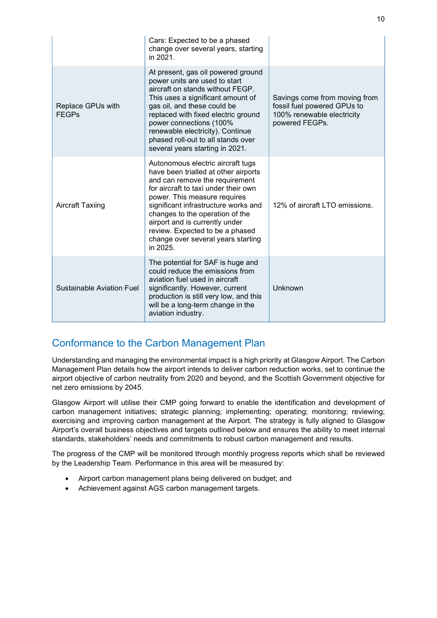|                                   | Cars: Expected to be a phased<br>change over several years, starting<br>in 2021.                                                                                                                                                                                                                                                                                                      |                                                                                                              |
|-----------------------------------|---------------------------------------------------------------------------------------------------------------------------------------------------------------------------------------------------------------------------------------------------------------------------------------------------------------------------------------------------------------------------------------|--------------------------------------------------------------------------------------------------------------|
| Replace GPUs with<br><b>FEGPs</b> | At present, gas oil powered ground<br>power units are used to start<br>aircraft on stands without FEGP.<br>This uses a significant amount of<br>gas oil, and these could be<br>replaced with fixed electric ground<br>power connections (100%<br>renewable electricity). Continue<br>phased roll-out to all stands over<br>several years starting in 2021.                            | Savings come from moving from<br>fossil fuel powered GPUs to<br>100% renewable electricity<br>powered FEGPs. |
| <b>Aircraft Taxiing</b>           | Autonomous electric aircraft tugs<br>have been trialled at other airports<br>and can remove the requirement<br>for aircraft to taxi under their own<br>power. This measure requires<br>significant infrastructure works and<br>changes to the operation of the<br>airport and is currently under<br>review. Expected to be a phased<br>change over several years starting<br>in 2025. | 12% of aircraft LTO emissions.                                                                               |
| Sustainable Aviation Fuel         | The potential for SAF is huge and<br>could reduce the emissions from<br>aviation fuel used in aircraft<br>significantly. However, current<br>production is still very low, and this<br>will be a long-term change in the<br>aviation industry.                                                                                                                                        | Unknown                                                                                                      |

### Conformance to the Carbon Management Plan

Understanding and managing the environmental impact is a high priority at Glasgow Airport. The Carbon Management Plan details how the airport intends to deliver carbon reduction works, set to continue the airport objective of carbon neutrality from 2020 and beyond, and the Scottish Government objective for net zero emissions by 2045.

Glasgow Airport will utilise their CMP going forward to enable the identification and development of carbon management initiatives; strategic planning; implementing; operating; monitoring; reviewing; exercising and improving carbon management at the Airport. The strategy is fully aligned to Glasgow Airport's overall business objectives and targets outlined below and ensures the ability to meet internal standards, stakeholders' needs and commitments to robust carbon management and results.

The progress of the CMP will be monitored through monthly progress reports which shall be reviewed by the Leadership Team. Performance in this area will be measured by:

- Airport carbon management plans being delivered on budget; and
- Achievement against AGS carbon management targets.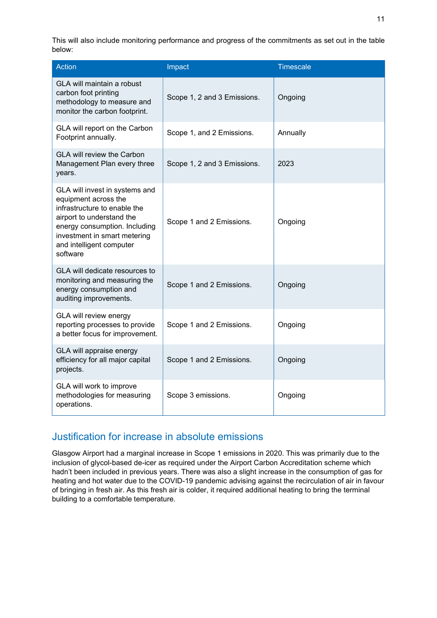This will also include monitoring performance and progress of the commitments as set out in the table below:

| <b>Action</b>                                                                                                                                                                                                                | Impact                      | Timescale |
|------------------------------------------------------------------------------------------------------------------------------------------------------------------------------------------------------------------------------|-----------------------------|-----------|
| <b>GLA will maintain a robust</b><br>carbon foot printing<br>methodology to measure and<br>monitor the carbon footprint.                                                                                                     | Scope 1, 2 and 3 Emissions. | Ongoing   |
| GLA will report on the Carbon<br>Footprint annually.                                                                                                                                                                         | Scope 1, and 2 Emissions.   | Annually  |
| <b>GLA will review the Carbon</b><br>Management Plan every three<br>years.                                                                                                                                                   | Scope 1, 2 and 3 Emissions. | 2023      |
| GLA will invest in systems and<br>equipment across the<br>infrastructure to enable the<br>airport to understand the<br>energy consumption. Including<br>investment in smart metering<br>and intelligent computer<br>software | Scope 1 and 2 Emissions.    | Ongoing   |
| GLA will dedicate resources to<br>monitoring and measuring the<br>energy consumption and<br>auditing improvements.                                                                                                           | Scope 1 and 2 Emissions.    | Ongoing   |
| GLA will review energy<br>reporting processes to provide<br>a better focus for improvement.                                                                                                                                  | Scope 1 and 2 Emissions.    | Ongoing   |
| GLA will appraise energy<br>efficiency for all major capital<br>projects.                                                                                                                                                    | Scope 1 and 2 Emissions.    | Ongoing   |
| GLA will work to improve<br>methodologies for measuring<br>operations.                                                                                                                                                       | Scope 3 emissions.          | Ongoing   |

### Justification for increase in absolute emissions

Glasgow Airport had a marginal increase in Scope 1 emissions in 2020. This was primarily due to the inclusion of glycol-based de-icer as required under the Airport Carbon Accreditation scheme which hadn't been included in previous years. There was also a slight increase in the consumption of gas for heating and hot water due to the COVID-19 pandemic advising against the recirculation of air in favour of bringing in fresh air. As this fresh air is colder, it required additional heating to bring the terminal building to a comfortable temperature.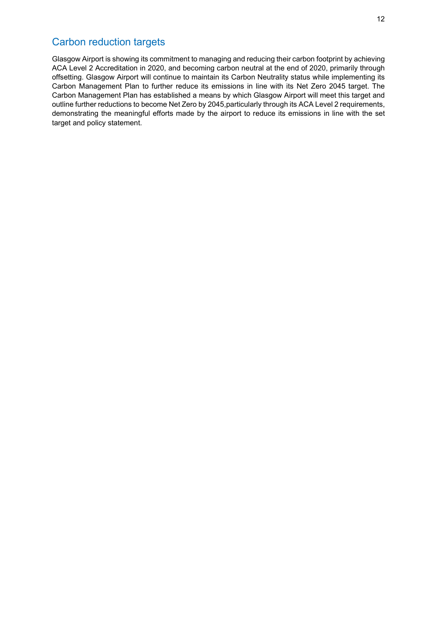### Carbon reduction targets

Glasgow Airport is showing its commitment to managing and reducing their carbon footprint by achieving ACA Level 2 Accreditation in 2020, and becoming carbon neutral at the end of 2020, primarily through offsetting. Glasgow Airport will continue to maintain its Carbon Neutrality status while implementing its Carbon Management Plan to further reduce its emissions in line with its Net Zero 2045 target. The Carbon Management Plan has established a means by which Glasgow Airport will meet this target and outline further reductions to become Net Zero by 2045,particularly through its ACA Level 2 requirements, demonstrating the meaningful efforts made by the airport to reduce its emissions in line with the set target and policy statement.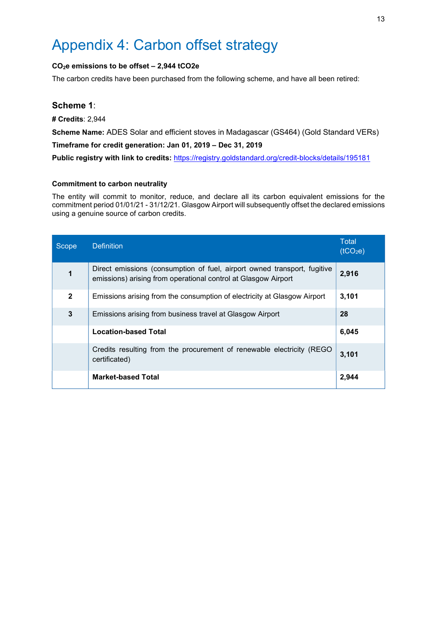## Appendix 4: Carbon offset strategy

#### CO2e emissions to be offset – 2,944 tCO2e

The carbon credits have been purchased from the following scheme, and have all been retired:

#### Scheme 1:

# Credits: 2,944

Scheme Name: ADES Solar and efficient stoves in Madagascar (GS464) (Gold Standard VERs)

Timeframe for credit generation: Jan 01, 2019 – Dec 31, 2019

Public registry with link to credits: https://registry.goldstandard.org/credit-blocks/details/195181

#### Commitment to carbon neutrality

The entity will commit to monitor, reduce, and declare all its carbon equivalent emissions for the commitment period 01/01/21 - 31/12/21. Glasgow Airport will subsequently offset the declared emissions using a genuine source of carbon credits.

| Scope        | <b>Definition</b>                                                                                                                          | <b>Total</b><br>(tCO <sub>2</sub> e) |
|--------------|--------------------------------------------------------------------------------------------------------------------------------------------|--------------------------------------|
| 1            | Direct emissions (consumption of fuel, airport owned transport, fugitive<br>emissions) arising from operational control at Glasgow Airport | 2,916                                |
| $\mathbf{2}$ | Emissions arising from the consumption of electricity at Glasgow Airport                                                                   | 3,101                                |
| 3            | Emissions arising from business travel at Glasgow Airport                                                                                  | 28                                   |
|              | <b>Location-based Total</b>                                                                                                                | 6,045                                |
|              | Credits resulting from the procurement of renewable electricity (REGO)<br>certificated)                                                    | 3,101                                |
|              | <b>Market-based Total</b>                                                                                                                  | 2,944                                |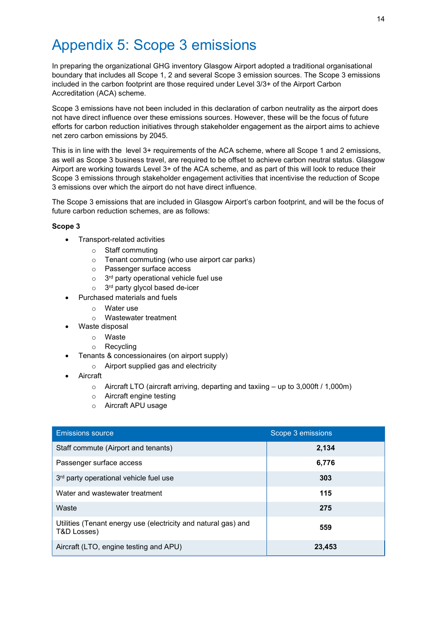### Appendix 5: Scope 3 emissions

In preparing the organizational GHG inventory Glasgow Airport adopted a traditional organisational boundary that includes all Scope 1, 2 and several Scope 3 emission sources. The Scope 3 emissions included in the carbon footprint are those required under Level 3/3+ of the Airport Carbon Accreditation (ACA) scheme.

Scope 3 emissions have not been included in this declaration of carbon neutrality as the airport does not have direct influence over these emissions sources. However, these will be the focus of future efforts for carbon reduction initiatives through stakeholder engagement as the airport aims to achieve net zero carbon emissions by 2045.

This is in line with the level 3+ requirements of the ACA scheme, where all Scope 1 and 2 emissions, as well as Scope 3 business travel, are required to be offset to achieve carbon neutral status. Glasgow Airport are working towards Level 3+ of the ACA scheme, and as part of this will look to reduce their Scope 3 emissions through stakeholder engagement activities that incentivise the reduction of Scope 3 emissions over which the airport do not have direct influence.

The Scope 3 emissions that are included in Glasgow Airport's carbon footprint, and will be the focus of future carbon reduction schemes, are as follows:

#### Scope 3

- Transport-related activities
	- o Staff commuting
	- o Tenant commuting (who use airport car parks)
	- o Passenger surface access
	- $\circ$  3<sup>rd</sup> party operational vehicle fuel use
	- $\circ$  3<sup>rd</sup> party glycol based de-icer
- Purchased materials and fuels
	- o Water use
	- o Wastewater treatment
- Waste disposal
	- o Waste
	- o Recycling
- Tenants & concessionaires (on airport supply)
	- o Airport supplied gas and electricity
- Aircraft
	- o Aircraft LTO (aircraft arriving, departing and taxiing up to 3,000ft / 1,000m)
	- o Aircraft engine testing
	- o Aircraft APU usage

| <b>Emissions source</b>                                                       | Scope 3 emissions |
|-------------------------------------------------------------------------------|-------------------|
| Staff commute (Airport and tenants)                                           | 2,134             |
| Passenger surface access                                                      | 6,776             |
| 3rd party operational vehicle fuel use                                        | 303               |
| Water and wastewater treatment                                                | 115               |
| Waste                                                                         | 275               |
| Utilities (Tenant energy use (electricity and natural gas) and<br>T&D Losses) | 559               |
| Aircraft (LTO, engine testing and APU)                                        | 23,453            |